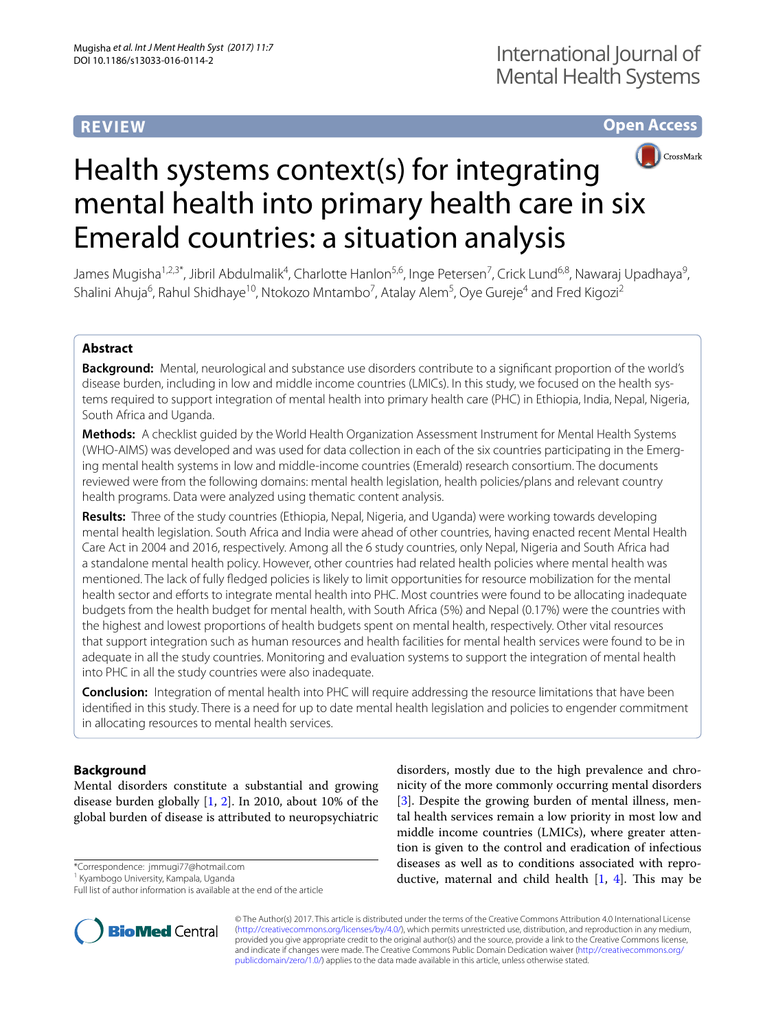# **REVIEW**

# **Open Access**



# Health systems context(s) for integrating mental health into primary health care in six Emerald countries: a situation analysis

James Mugisha<sup>1,2,3\*</sup>, Jibril Abdulmalik<sup>4</sup>, Charlotte Hanlon<sup>5,6</sup>, Inge Petersen<sup>7</sup>, Crick Lund<sup>6,8</sup>, Nawaraj Upadhaya<sup>9</sup>, Shalini Ahuja<sup>6</sup>, Rahul Shidhaye<sup>10</sup>, Ntokozo Mntambo<sup>7</sup>, Atalay Alem<sup>5</sup>, Oye Gureje<sup>4</sup> and Fred Kigozi<sup>2</sup>

# **Abstract**

**Background:** Mental, neurological and substance use disorders contribute to a significant proportion of the world's disease burden, including in low and middle income countries (LMICs). In this study, we focused on the health systems required to support integration of mental health into primary health care (PHC) in Ethiopia, India, Nepal, Nigeria, South Africa and Uganda.

**Methods:** A checklist guided by the World Health Organization Assessment Instrument for Mental Health Systems (WHO-AIMS) was developed and was used for data collection in each of the six countries participating in the Emerging mental health systems in low and middle-income countries (Emerald) research consortium. The documents reviewed were from the following domains: mental health legislation, health policies/plans and relevant country health programs. Data were analyzed using thematic content analysis.

**Results:** Three of the study countries (Ethiopia, Nepal, Nigeria, and Uganda) were working towards developing mental health legislation. South Africa and India were ahead of other countries, having enacted recent Mental Health Care Act in 2004 and 2016, respectively. Among all the 6 study countries, only Nepal, Nigeria and South Africa had a standalone mental health policy. However, other countries had related health policies where mental health was mentioned. The lack of fully fledged policies is likely to limit opportunities for resource mobilization for the mental health sector and efforts to integrate mental health into PHC. Most countries were found to be allocating inadequate budgets from the health budget for mental health, with South Africa (5%) and Nepal (0.17%) were the countries with the highest and lowest proportions of health budgets spent on mental health, respectively. Other vital resources that support integration such as human resources and health facilities for mental health services were found to be in adequate in all the study countries. Monitoring and evaluation systems to support the integration of mental health into PHC in all the study countries were also inadequate.

**Conclusion:** Integration of mental health into PHC will require addressing the resource limitations that have been identified in this study. There is a need for up to date mental health legislation and policies to engender commitment in allocating resources to mental health services.

# **Background**

Mental disorders constitute a substantial and growing disease burden globally [\[1](#page-11-0), [2\]](#page-11-1). In 2010, about 10% of the global burden of disease is attributed to neuropsychiatric

\*Correspondence: jmmugi77@hotmail.com

1 Kyambogo University, Kampala, Uganda

Full list of author information is available at the end of the article



disorders, mostly due to the high prevalence and chronicity of the more commonly occurring mental disorders [[3\]](#page-11-2). Despite the growing burden of mental illness, mental health services remain a low priority in most low and middle income countries (LMICs), where greater attention is given to the control and eradication of infectious diseases as well as to conditions associated with reproductive, maternal and child health  $[1, 4]$  $[1, 4]$  $[1, 4]$ . This may be

© The Author(s) 2017. This article is distributed under the terms of the Creative Commons Attribution 4.0 International License [\(http://creativecommons.org/licenses/by/4.0/\)](http://creativecommons.org/licenses/by/4.0/), which permits unrestricted use, distribution, and reproduction in any medium, provided you give appropriate credit to the original author(s) and the source, provide a link to the Creative Commons license, and indicate if changes were made. The Creative Commons Public Domain Dedication waiver ([http://creativecommons.org/](http://creativecommons.org/publicdomain/zero/1.0/) [publicdomain/zero/1.0/](http://creativecommons.org/publicdomain/zero/1.0/)) applies to the data made available in this article, unless otherwise stated.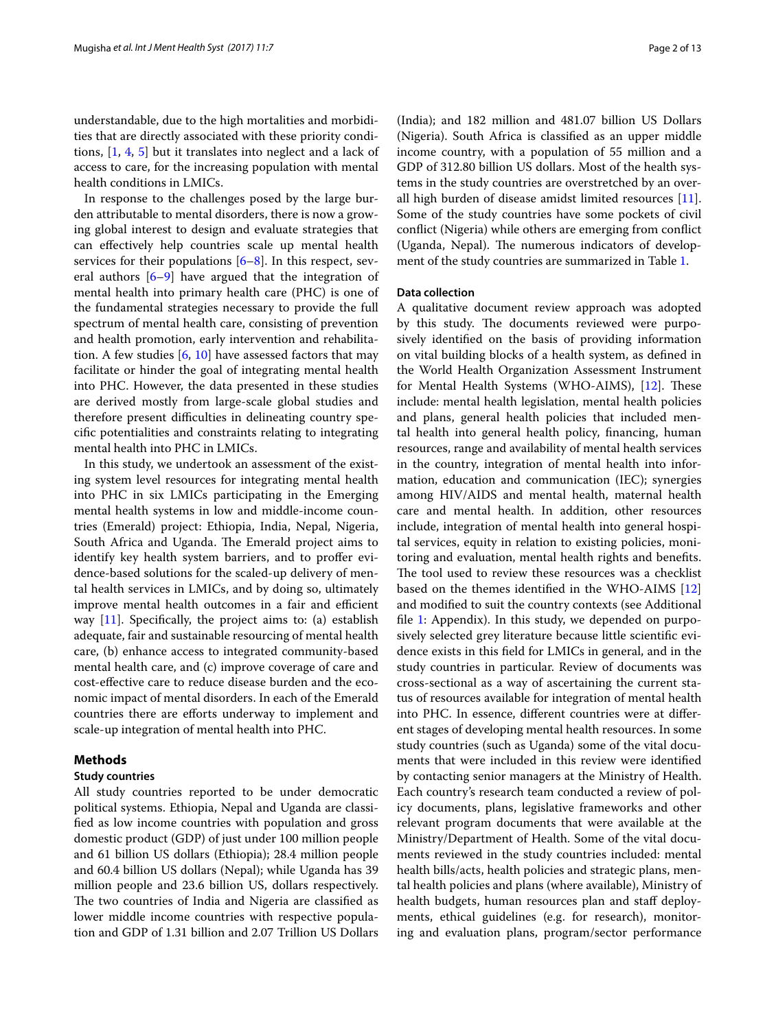understandable, due to the high mortalities and morbidities that are directly associated with these priority conditions, [[1,](#page-11-0) [4,](#page-11-3) [5](#page-11-4)] but it translates into neglect and a lack of access to care, for the increasing population with mental health conditions in LMICs.

In response to the challenges posed by the large burden attributable to mental disorders, there is now a growing global interest to design and evaluate strategies that can effectively help countries scale up mental health services for their populations [\[6](#page-11-5)[–8\]](#page-11-6). In this respect, several authors  $[6-9]$  $[6-9]$  $[6-9]$  have argued that the integration of mental health into primary health care (PHC) is one of the fundamental strategies necessary to provide the full spectrum of mental health care, consisting of prevention and health promotion, early intervention and rehabilitation. A few studies  $[6, 10]$  $[6, 10]$  $[6, 10]$  $[6, 10]$  $[6, 10]$  have assessed factors that may facilitate or hinder the goal of integrating mental health into PHC. However, the data presented in these studies are derived mostly from large-scale global studies and therefore present difficulties in delineating country specific potentialities and constraints relating to integrating mental health into PHC in LMICs.

In this study, we undertook an assessment of the existing system level resources for integrating mental health into PHC in six LMICs participating in the Emerging mental health systems in low and middle-income countries (Emerald) project: Ethiopia, India, Nepal, Nigeria, South Africa and Uganda. The Emerald project aims to identify key health system barriers, and to proffer evidence-based solutions for the scaled-up delivery of mental health services in LMICs, and by doing so, ultimately improve mental health outcomes in a fair and efficient way  $[11]$  $[11]$ . Specifically, the project aims to: (a) establish adequate, fair and sustainable resourcing of mental health care, (b) enhance access to integrated community-based mental health care, and (c) improve coverage of care and cost-effective care to reduce disease burden and the economic impact of mental disorders. In each of the Emerald countries there are efforts underway to implement and scale-up integration of mental health into PHC.

# **Methods**

# **Study countries**

All study countries reported to be under democratic political systems. Ethiopia, Nepal and Uganda are classified as low income countries with population and gross domestic product (GDP) of just under 100 million people and 61 billion US dollars (Ethiopia); 28.4 million people and 60.4 billion US dollars (Nepal); while Uganda has 39 million people and 23.6 billion US, dollars respectively. The two countries of India and Nigeria are classified as lower middle income countries with respective population and GDP of 1.31 billion and 2.07 Trillion US Dollars

(India); and 182 million and 481.07 billion US Dollars (Nigeria). South Africa is classified as an upper middle income country, with a population of 55 million and a GDP of 312.80 billion US dollars. Most of the health systems in the study countries are overstretched by an overall high burden of disease amidst limited resources [\[11](#page-11-9)]. Some of the study countries have some pockets of civil conflict (Nigeria) while others are emerging from conflict (Uganda, Nepal). The numerous indicators of development of the study countries are summarized in Table [1.](#page-2-0)

# **Data collection**

A qualitative document review approach was adopted by this study. The documents reviewed were purposively identified on the basis of providing information on vital building blocks of a health system, as defined in the World Health Organization Assessment Instrument for Mental Health Systems (WHO-AIMS), [[12\]](#page-11-10). These include: mental health legislation, mental health policies and plans, general health policies that included mental health into general health policy, financing, human resources, range and availability of mental health services in the country, integration of mental health into information, education and communication (IEC); synergies among HIV/AIDS and mental health, maternal health care and mental health. In addition, other resources include, integration of mental health into general hospital services, equity in relation to existing policies, monitoring and evaluation, mental health rights and benefits. The tool used to review these resources was a checklist based on the themes identified in the WHO-AIMS [[12](#page-11-10)] and modified to suit the country contexts (see Additional file [1](#page-11-11): Appendix). In this study, we depended on purposively selected grey literature because little scientific evidence exists in this field for LMICs in general, and in the study countries in particular. Review of documents was cross-sectional as a way of ascertaining the current status of resources available for integration of mental health into PHC. In essence, different countries were at different stages of developing mental health resources. In some study countries (such as Uganda) some of the vital documents that were included in this review were identified by contacting senior managers at the Ministry of Health. Each country's research team conducted a review of policy documents, plans, legislative frameworks and other relevant program documents that were available at the Ministry/Department of Health. Some of the vital documents reviewed in the study countries included: mental health bills/acts, health policies and strategic plans, mental health policies and plans (where available), Ministry of health budgets, human resources plan and staff deployments, ethical guidelines (e.g. for research), monitoring and evaluation plans, program/sector performance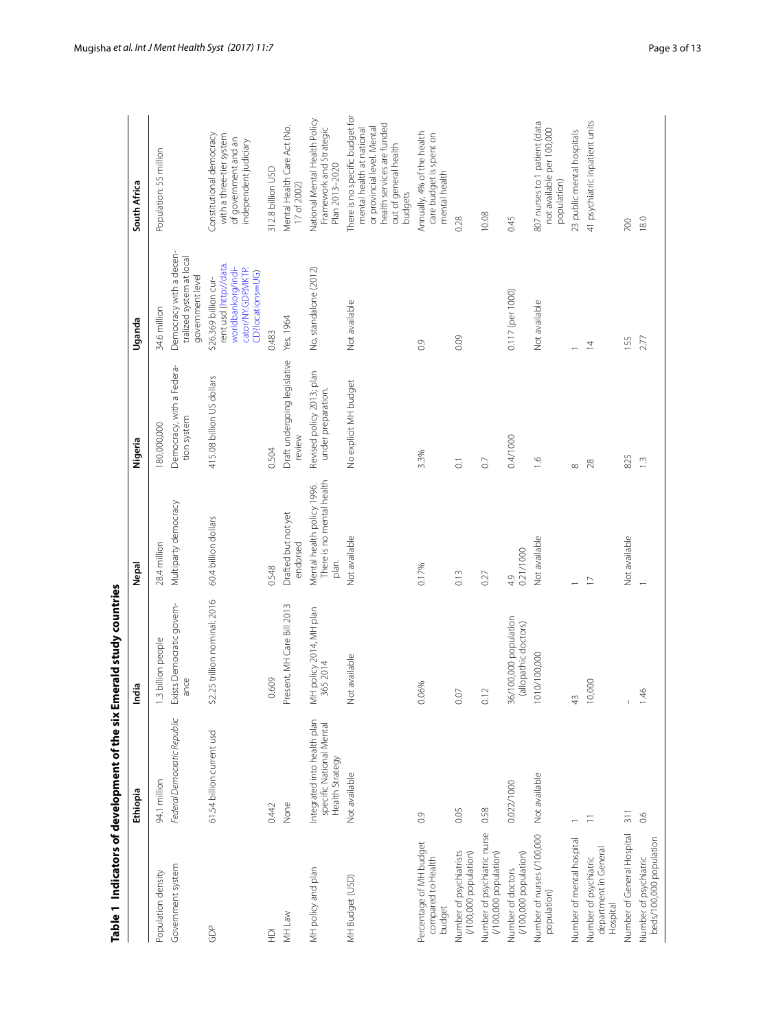<span id="page-2-0"></span>

|                                                            | Table 1 Indicators of development of the six Emerald study countries       |                                               |                                                                  |                                                 |                                                                                                                 |                                                                                                                                                               |
|------------------------------------------------------------|----------------------------------------------------------------------------|-----------------------------------------------|------------------------------------------------------------------|-------------------------------------------------|-----------------------------------------------------------------------------------------------------------------|---------------------------------------------------------------------------------------------------------------------------------------------------------------|
|                                                            | Ethiopia                                                                   | India                                         | Nepal                                                            | Nigeria                                         | Uganda                                                                                                          | South Africa                                                                                                                                                  |
| Population density                                         | 94.1 million                                                               | 1.3 billion people                            | 28.4 million                                                     | 180,000,000                                     | 34.6 million                                                                                                    | Population: 55 million                                                                                                                                        |
| Government system                                          | Federal Democratic Republic                                                | Exists Democratic govern-<br>ance             | Multiparty democracy                                             | Democracy, with a Federa-<br>tion system        | Democracy with a decen-<br>tralized system at local<br>government level                                         |                                                                                                                                                               |
| GDP                                                        | 61.54 billion current usd                                                  | \$2.25 trillion nominal; 2016                 | 60.4 billion dollars                                             | 415.08 billion US dollars                       | rent usd (http://data.<br>worldbankorq/indi-<br>cator/NY.GDP.MKTP.<br>CD?locations=UG)<br>\$26.369 billion cur- | Constitutional democracy<br>with a three-tier system<br>of government and an<br>independent judiciary                                                         |
| $\overline{P}$                                             | 0.442                                                                      | 0.609                                         | 0.548                                                            | 0.504                                           | 0.483                                                                                                           | 312.8 billion USD                                                                                                                                             |
| MH Law                                                     | None                                                                       | Present, MH Care Bill 2013                    | Drafted but not yet<br>endorsed                                  | Draft undergoing legislative<br>review          | Yes, 1964                                                                                                       | Mental Health Care Act (No.<br>17 of 2002)                                                                                                                    |
| MH policy and plan                                         | Integrated into health plan<br>specific National Mental<br>Health Strategy | MH policy 2014, MH plan<br>365 2014           | There is no mental health<br>Mental health policy 1996.<br>plan. | Revised policy 2013; plan<br>under preparation. | No, standalone (2012)                                                                                           | National Mental Health Policy<br>Framework and Strategic<br>Plan 2013-2020                                                                                    |
| MH Budget (USD)                                            | Not available                                                              | Not available                                 | Not available                                                    | No explicit MH budget                           | Not available                                                                                                   | There is no specific budget for<br>health services are funded<br>or provincial level. Mental<br>mental health at national<br>out of general health<br>budgets |
| Percentage of MH budget<br>compared to Health<br>budget    | $\overline{0}$                                                             | 0.06%                                         | 0.17%                                                            | 3.3%                                            | $\overline{0}$                                                                                                  | Annually, 4% of the health<br>care budget is spent on<br>mental health                                                                                        |
| Number of psychiatrists<br>$(100,000$ population)          | 0.05                                                                       | 0.07                                          | 0.13                                                             | $\overline{O}$                                  | 0.09                                                                                                            | 0.28                                                                                                                                                          |
| Number of psychiatric nurse<br>(/100,000 population)       | 0.58                                                                       | 0.12                                          | 0.27                                                             | $\overline{0}$                                  |                                                                                                                 | 10.08                                                                                                                                                         |
| (/100,000 population)<br>Number of doctors                 | 0.022/1000                                                                 | 36/100,000 population<br>(allopathic doctors) | 0.21/1000<br>4.9                                                 | 0.4/1000                                        | 0.117 (per 1000)                                                                                                | 0.45                                                                                                                                                          |
| Number of nurses (/100,000<br>population)                  | Not available                                                              | 1010/100,000                                  | Not available                                                    | $\frac{6}{10}$                                  | Not available                                                                                                   | 807 nurses to 1 patient (data<br>not available per 100,000<br>population)                                                                                     |
| Number of mental hospital                                  |                                                                            | 43                                            |                                                                  | $\infty$                                        |                                                                                                                 | 23 public mental hospitals                                                                                                                                    |
| department in General<br>Number of psychiatric<br>Hospital | Ξ                                                                          | 10,000                                        | $\overline{1}$                                                   | 28                                              | $\overline{4}$                                                                                                  | 41 psychiatric inpatient units                                                                                                                                |
| Number of General Hospital                                 | $\frac{1}{2}$                                                              | $\vert$                                       | Not available                                                    | 825                                             | 155                                                                                                             | 700                                                                                                                                                           |
| beds/100,000 population<br>Number of psychiatric           | 0.6                                                                        | 1.46                                          | $\div$                                                           | $\frac{1}{2}$                                   | 2.77                                                                                                            | 18.0                                                                                                                                                          |
|                                                            |                                                                            |                                               |                                                                  |                                                 |                                                                                                                 |                                                                                                                                                               |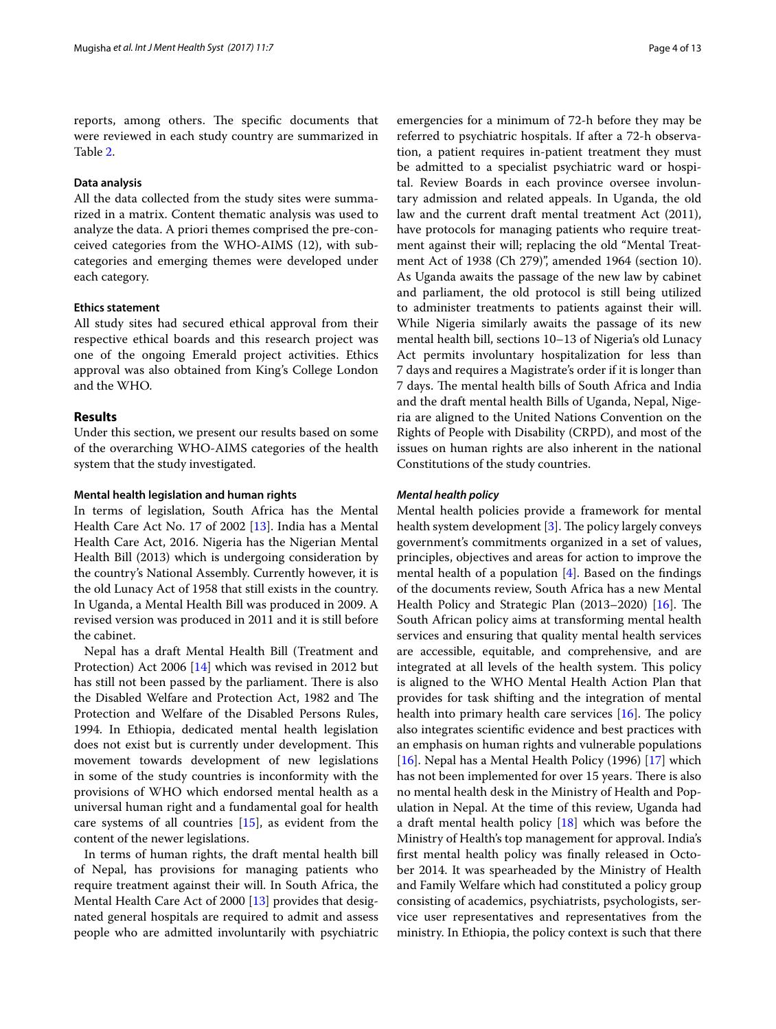reports, among others. The specific documents that were reviewed in each study country are summarized in Table [2](#page-4-0).

# **Data analysis**

All the data collected from the study sites were summarized in a matrix. Content thematic analysis was used to analyze the data. A priori themes comprised the pre-conceived categories from the WHO-AIMS (12), with subcategories and emerging themes were developed under each category.

## **Ethics statement**

All study sites had secured ethical approval from their respective ethical boards and this research project was one of the ongoing Emerald project activities. Ethics approval was also obtained from King's College London and the WHO.

# **Results**

Under this section, we present our results based on some of the overarching WHO-AIMS categories of the health system that the study investigated.

#### **Mental health legislation and human rights**

In terms of legislation, South Africa has the Mental Health Care Act No. 17 of 2002 [[13\]](#page-11-12). India has a Mental Health Care Act, 2016. Nigeria has the Nigerian Mental Health Bill (2013) which is undergoing consideration by the country's National Assembly. Currently however, it is the old Lunacy Act of 1958 that still exists in the country. In Uganda, a Mental Health Bill was produced in 2009. A revised version was produced in 2011 and it is still before the cabinet.

Nepal has a draft Mental Health Bill (Treatment and Protection) Act 2006 [\[14](#page-11-13)] which was revised in 2012 but has still not been passed by the parliament. There is also the Disabled Welfare and Protection Act, 1982 and The Protection and Welfare of the Disabled Persons Rules, 1994. In Ethiopia, dedicated mental health legislation does not exist but is currently under development. This movement towards development of new legislations in some of the study countries is inconformity with the provisions of WHO which endorsed mental health as a universal human right and a fundamental goal for health care systems of all countries [\[15](#page-11-14)], as evident from the content of the newer legislations.

In terms of human rights, the draft mental health bill of Nepal, has provisions for managing patients who require treatment against their will. In South Africa, the Mental Health Care Act of 2000 [\[13\]](#page-11-12) provides that designated general hospitals are required to admit and assess people who are admitted involuntarily with psychiatric emergencies for a minimum of 72-h before they may be referred to psychiatric hospitals. If after a 72-h observation, a patient requires in-patient treatment they must be admitted to a specialist psychiatric ward or hospital. Review Boards in each province oversee involuntary admission and related appeals. In Uganda, the old law and the current draft mental treatment Act (2011), have protocols for managing patients who require treatment against their will; replacing the old "Mental Treatment Act of 1938 (Ch 279)", amended 1964 (section 10). As Uganda awaits the passage of the new law by cabinet and parliament, the old protocol is still being utilized to administer treatments to patients against their will. While Nigeria similarly awaits the passage of its new mental health bill, sections 10–13 of Nigeria's old Lunacy Act permits involuntary hospitalization for less than 7 days and requires a Magistrate's order if it is longer than 7 days. The mental health bills of South Africa and India and the draft mental health Bills of Uganda, Nepal, Nigeria are aligned to the United Nations Convention on the Rights of People with Disability (CRPD), and most of the issues on human rights are also inherent in the national Constitutions of the study countries.

#### *Mental health policy*

Mental health policies provide a framework for mental health system development [[3\]](#page-11-2). The policy largely conveys government's commitments organized in a set of values, principles, objectives and areas for action to improve the mental health of a population [[4\]](#page-11-3). Based on the findings of the documents review, South Africa has a new Mental Health Policy and Strategic Plan (2013–2020) [\[16\]](#page-11-15). The South African policy aims at transforming mental health services and ensuring that quality mental health services are accessible, equitable, and comprehensive, and are integrated at all levels of the health system. This policy is aligned to the WHO Mental Health Action Plan that provides for task shifting and the integration of mental health into primary health care services [[16\]](#page-11-15). The policy also integrates scientific evidence and best practices with an emphasis on human rights and vulnerable populations [[16\]](#page-11-15). Nepal has a Mental Health Policy (1996) [\[17\]](#page-11-16) which has not been implemented for over 15 years. There is also no mental health desk in the Ministry of Health and Population in Nepal. At the time of this review, Uganda had a draft mental health policy [[18\]](#page-11-17) which was before the Ministry of Health's top management for approval. India's first mental health policy was finally released in October 2014. It was spearheaded by the Ministry of Health and Family Welfare which had constituted a policy group consisting of academics, psychiatrists, psychologists, service user representatives and representatives from the ministry. In Ethiopia, the policy context is such that there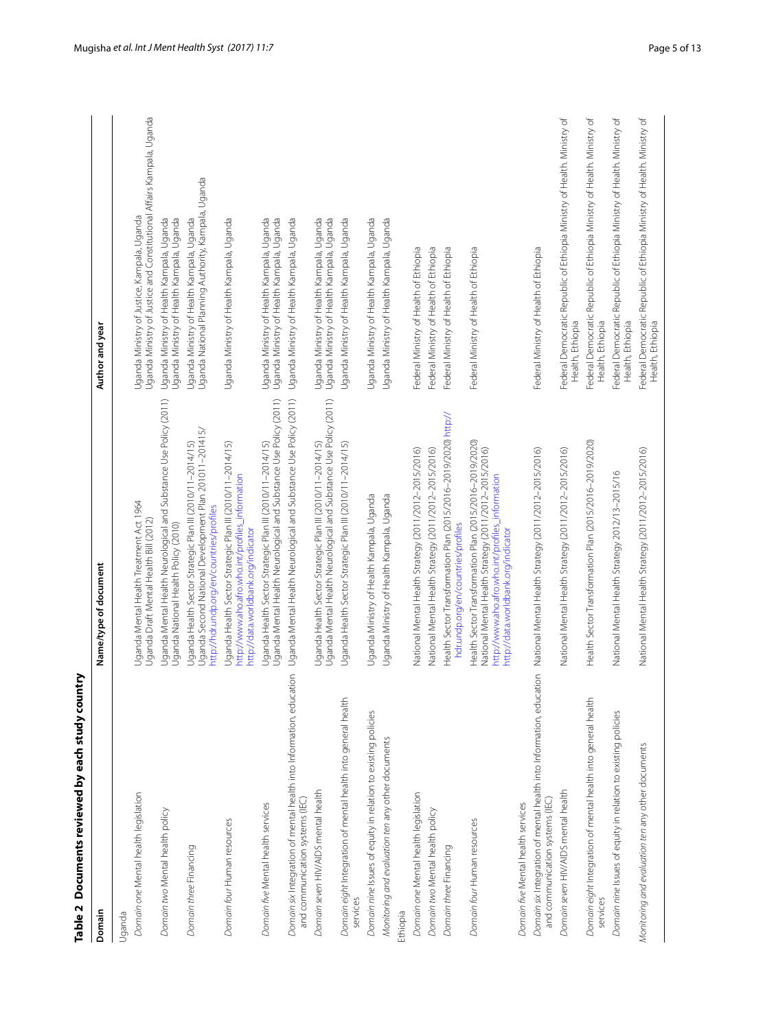<span id="page-4-0"></span>

| l |
|---|
| l |
| Ī |
|   |
|   |
|   |
|   |
|   |
|   |
|   |
|   |
|   |
| l |
| l |
|   |
|   |
|   |
|   |
|   |
|   |
|   |
|   |
|   |
|   |
|   |
|   |
|   |
|   |
|   |
|   |
|   |

| Table 2 Documents reviewed by each study country                                                                      |                                                                                                                                                                                                             |                                                                                                                      |
|-----------------------------------------------------------------------------------------------------------------------|-------------------------------------------------------------------------------------------------------------------------------------------------------------------------------------------------------------|----------------------------------------------------------------------------------------------------------------------|
| Domain                                                                                                                | Name/type of document                                                                                                                                                                                       | Author and year                                                                                                      |
| Uganda                                                                                                                |                                                                                                                                                                                                             |                                                                                                                      |
| Domain one Mental health legislation                                                                                  | Uganda Mental Health Treatment Act 1964<br>Uganda Draft Mental Health Bill (2012)                                                                                                                           | Uganda Ministry of Justice and Constitutional Affairs Kampala, Uganda<br>Uganda Ministry of Justice, Kampala, Uganda |
| Domain two Mental health policy                                                                                       | Uganda Mental Health Neurological and Substance Use Policy (2011)<br>Uganda National Health Policy (2010)                                                                                                   | Uganda Ministry of Health Kampala, Uganda<br>Uganda Ministry of Health Kampala, Uganda                               |
| Domain three Financing                                                                                                | Uganda Second National Development Plan 201011-201415/<br>Uganda Health Sector Strategic Plan III (2010/11-2014/15)<br>http://hdr.undp.org/en/countries/profiles                                            | Uganda National Planning Authority, Kampala, Uganda<br>Uganda Ministry of Health Kampala, Uganda                     |
| Domain four Human resources                                                                                           | Uganda Health Sector Strategic Plan III (2010/11-2014/15)<br>http://www.aho.afro.who.int/profiles_information<br>http://data.worldbank.org/indicator                                                        | Uganda Ministry of Health Kampala, Uganda                                                                            |
| Domain five Mental health services                                                                                    | Uganda Mental Health Neurological and Substance Use Policy (2011)<br>Uganda Health Sector Strategic Plan III (2010/11-2014/15)                                                                              | Uganda Ministry of Health Kampala, Uganda<br>Uganda Ministry of Health Kampala, Uganda                               |
| $\overline{6}$<br>Domain six Integration of mental health into Information, educat<br>and communication systems (IEC) | Uganda Mental Health Neurological and Substance Use Policy (2011)                                                                                                                                           | Uganda Ministry of Health Kampala, Uganda                                                                            |
| Domain seven HIV/AIDS mental health                                                                                   | Uganda Health Sector Strategic Plan III (2010/11–2014/15)<br>Uganda Mental Health Neurological and Substance Use Policy (2011)                                                                              | Uganda Ministry of Health Kampala, Uganda<br>Uganda Ministry of Health Kampala, Uganda                               |
| Domain eight Integration of mental health into general health<br>services                                             | Uganda Health Sector Strategic Plan III (2010/11-2014/15)                                                                                                                                                   | Uganda Ministry of Health Kampala, Uganda                                                                            |
| Domain nine Issues of equity in relation to existing policies                                                         | Uganda Ministry of Health Kampala, Uganda                                                                                                                                                                   | Uganda Ministry of Health Kampala, Uganda                                                                            |
| Monitoring and evaluation ten any other documents                                                                     | Uganda Ministry of Health Kampala, Uganda                                                                                                                                                                   | Uganda Ministry of Health Kampala, Uganda                                                                            |
| Ethiopia                                                                                                              |                                                                                                                                                                                                             |                                                                                                                      |
| Domain one Mental health legislation                                                                                  | National Mental Health Strategy (2011/2012-2015/2016)                                                                                                                                                       | Federal Ministry of Health of Ethiopia                                                                               |
| Domain two Mental health policy                                                                                       | National Mental Health Strategy (2011/2012-2015/2016)                                                                                                                                                       | Federal Ministry of Health of Ethiopia                                                                               |
| Domain three Financing                                                                                                | Health Sector Transformation Plan (2015/2016-2019/2020) http://<br>hdr.undp.org/en/countries/profiles                                                                                                       | Federal Ministry of Health of Ethiopia                                                                               |
| Domain four Human resources                                                                                           | Health Sector Transformation Plan (2015/2016-2019/2020)<br>National Mental Health Strategy (2011/2012-2015/2016)<br>http://www.aho.afro.who.int/profiles_information<br>http://data.worldbank.org/indicator | Federal Ministry of Health of Ethiopia                                                                               |
| Domain five Mental health services                                                                                    |                                                                                                                                                                                                             |                                                                                                                      |
| $\overline{5}$<br>Domain six Integration of mental health into Information, educat<br>and communication systems (IEC) | National Mental Health Strategy (2011/2012-2015/2016)                                                                                                                                                       | Federal Ministry of Health of Ethiopia                                                                               |
| Domain seven HIV/AIDS mental health                                                                                   | National Mental Health Strategy (2011/2012-2015/2016)                                                                                                                                                       | Federal Democratic Republic of Ethiopia Ministry of Health. Ministry of<br>Health, Ethiopia                          |
| Domain eight Integration of mental health into general health<br>services                                             | Health Sector Transformation Plan (2015/2016-2019/2020)                                                                                                                                                     | Federal Democratic Republic of Ethiopia Ministry of Health. Ministry of<br>Health, Ethiopia                          |
| Domain nine Issues of equity in relation to existing policies                                                         | National Mental Health Strategy 2012/13-2015/16                                                                                                                                                             | Federal Democratic Republic of Ethiopia Ministry of Health. Ministry of<br>Health, Ethiopia                          |
| Monitoring and evaluation ten any other documents                                                                     | National Mental Health Strategy (2011/2012-2015/2016)                                                                                                                                                       | Federal Democratic Republic of Ethiopia Ministry of Health. Ministry of<br>Health, Ethiopia                          |
|                                                                                                                       |                                                                                                                                                                                                             |                                                                                                                      |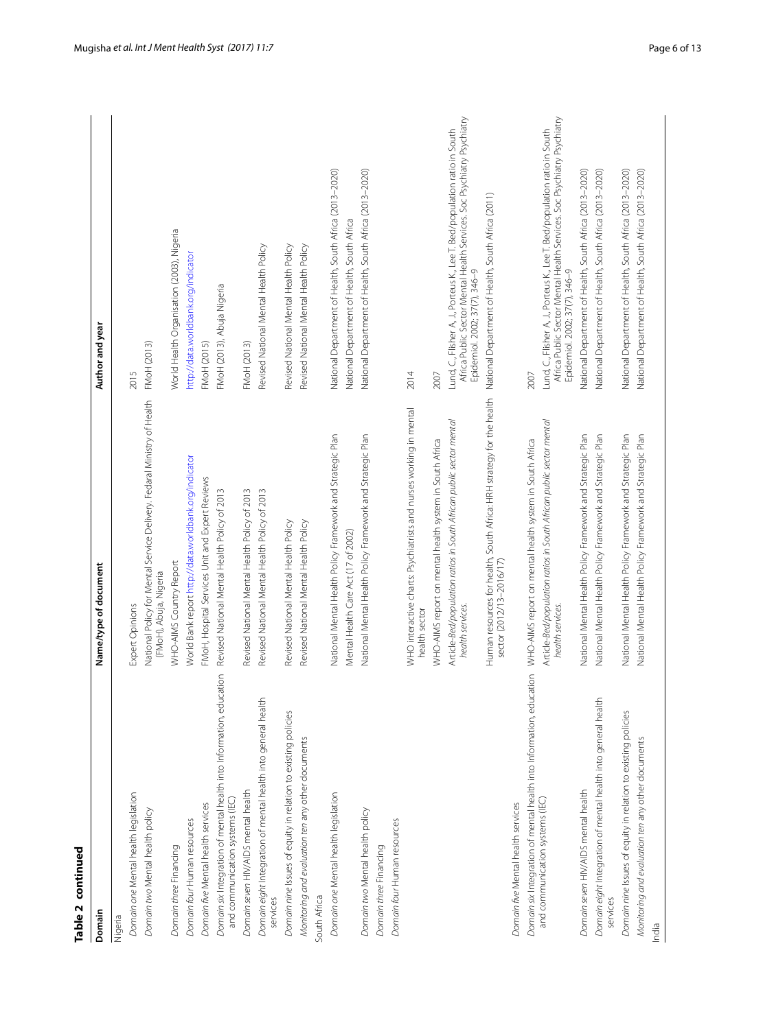| t       |
|---------|
|         |
|         |
|         |
|         |
|         |
|         |
|         |
| г       |
| d<br>L, |
| ī       |
|         |

| Table 2 continued                                                                                      |                                                                                                   |                                                                                                                                                                                      |
|--------------------------------------------------------------------------------------------------------|---------------------------------------------------------------------------------------------------|--------------------------------------------------------------------------------------------------------------------------------------------------------------------------------------|
| Domain                                                                                                 | Name/type of document                                                                             | Author and year                                                                                                                                                                      |
| Nigeria                                                                                                |                                                                                                   |                                                                                                                                                                                      |
| Domain one Mental health legislation                                                                   | Expert Opinions                                                                                   | 2015                                                                                                                                                                                 |
| Domain two Mental health policy                                                                        | National Policy for Mental Service Delivery. Fedaral Ministry of Health<br>(FMoH), Abuja, Nigeria | FMoH (2013)                                                                                                                                                                          |
| Domain three Financing                                                                                 | WHO-AIMS Country Report                                                                           | World Health Organisation (2003), Nigeria                                                                                                                                            |
| Domain four Human resources                                                                            | World Bank report http://data.worldbank.org/indicator                                             | http://data.worldbank.org/indicator                                                                                                                                                  |
| Domain five Mental health services                                                                     | FMoH, Hospital Services Unit and Expert Reviews                                                   | FMoH (2015)                                                                                                                                                                          |
| Domain six Integration of mental health into Information, education<br>and communication systems (IEC) | Revised National Mental Health Policy of 2013                                                     | FMoH (2013), Abuja Nigeria                                                                                                                                                           |
| Domain seven HIV/AIDS mental health                                                                    | Revised National Mental Health Policy of 2013                                                     | FMoH (2013)                                                                                                                                                                          |
| Domain eight Integration of mental health into general health<br>services                              | Revised National Mental Health Policy of 2013                                                     | Revised National Mental Health Policy                                                                                                                                                |
| Domain nine Issues of equity in relation to existing policies                                          | Revised National Mental Health Policy                                                             | Revised National Mental Health Policy                                                                                                                                                |
| Monitoring and evaluation ten any other documents                                                      | Revised National Mental Health Policy                                                             | Revised National Mental Health Policy                                                                                                                                                |
| South Africa                                                                                           |                                                                                                   |                                                                                                                                                                                      |
| Domain one Mental health legislation                                                                   | National Mental Health Policy Framework and Strategic Plan                                        | National Department of Health, South Africa (2013-2020)                                                                                                                              |
|                                                                                                        | Mental Health Care Act (17 of 2002)                                                               | National Department of Health, South Africa                                                                                                                                          |
| Domain two Mental health policy<br>Domain four Human resources<br>Domain three Financing               | National Mental Health Policy Framework and Strategic Plan                                        | National Department of Health, South Africa (2013-2020)                                                                                                                              |
|                                                                                                        | WHO interactive charts: Psychiatrists and nurses working in mental<br>health sector               | 2014                                                                                                                                                                                 |
|                                                                                                        | WHO-AIMS report on mental health system in South Africa                                           | 2007                                                                                                                                                                                 |
|                                                                                                        | Article-Bed/population ratios in South African public sector mental<br>health services.           | Africa Public Sector Mental Health Services. Soc Psychiatry Psychiatry<br>Lund, C., Flisher A, J., Porteus K., Lee T. Bed/population ratio in South<br>Epidemiol. 2002; 37(7), 346-9 |
|                                                                                                        | Human resources for health, South Africa: HRH strategy for the health<br>sector (2012/13-2016/17) | National Department of Health, South Africa (2011)                                                                                                                                   |
| Domain five Mental health services                                                                     |                                                                                                   |                                                                                                                                                                                      |
| Domain six Integration of mental health into Information, education                                    | WHO-AIMS report on mental health system in South Africa                                           | 2007                                                                                                                                                                                 |
| and communication systems (IEC)                                                                        | Article-Bed/population ratios in South African public sector mental<br>health services.           | Africa Public Sector Mental Health Services. Soc Psychiatry Psychiatry<br>Lund, C., Flisher A, J., Porteus K., Lee T. Bed/population ratio in South<br>Epidemiol. 2002; 37(7), 346-9 |
| Domain seven HIV/AIDS mental health                                                                    | National Mental Health Policy Framework and Strategic Plan                                        | National Department of Health, South Africa (2013-2020)                                                                                                                              |
| Domain eight Integration of mental health into general health<br>services                              | National Mental Health Policy Framework and Strategic Plan                                        | National Department of Health, South Africa (2013-2020)                                                                                                                              |
| Domain nine Issues of equity in relation to existing policies                                          | National Mental Health Policy Framework and Strategic Plan                                        | National Department of Health, South Africa (2013-2020)                                                                                                                              |
| Monitoring and evaluation ten any other documents<br>India                                             | National Mental Health Policy Framework and Strategic Plan                                        | National Department of Health, South Africa (2013-2020)                                                                                                                              |
|                                                                                                        |                                                                                                   |                                                                                                                                                                                      |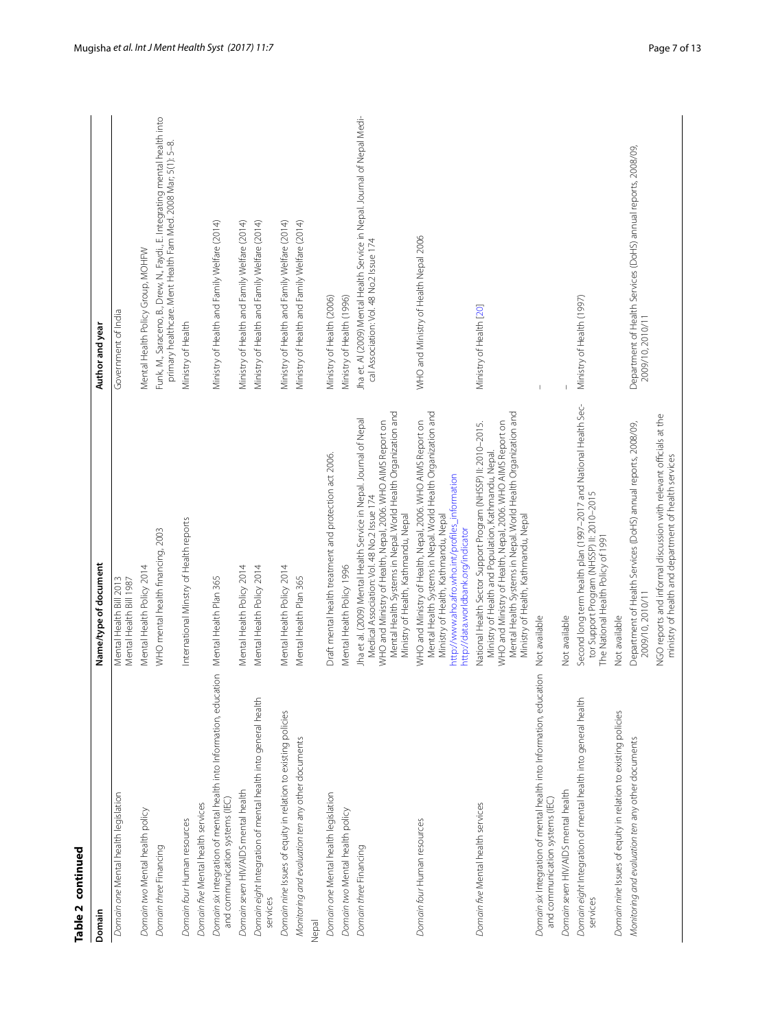| Table 2 continued                                                                                      |                                                                                                                                                                                                                                                                                               |                                                                                                                                              |
|--------------------------------------------------------------------------------------------------------|-----------------------------------------------------------------------------------------------------------------------------------------------------------------------------------------------------------------------------------------------------------------------------------------------|----------------------------------------------------------------------------------------------------------------------------------------------|
| Domain                                                                                                 | Name/type of document                                                                                                                                                                                                                                                                         | Author and year                                                                                                                              |
| Domain one Mental health legislation                                                                   | Mental Health Bill 2013<br>Mental Health Bill 1987                                                                                                                                                                                                                                            | Government of India                                                                                                                          |
| Domain two Mental health policy                                                                        | Mental Health Policy 2014                                                                                                                                                                                                                                                                     | Mental Health Policy Group, MOHFW                                                                                                            |
| Domain three Financing                                                                                 | WHO mental health financing, 2003                                                                                                                                                                                                                                                             | Funk, M., Saraceno, B., Drew, N., Faydi., E. Integrating mental health into<br>primary healthcare. Ment Health Fam Med. 2008 Mar; 5(1): 5-8. |
| Domain four Human resources                                                                            | International Minstry of Health reports                                                                                                                                                                                                                                                       | Ministry of Health                                                                                                                           |
| Domain five Mental health services                                                                     |                                                                                                                                                                                                                                                                                               |                                                                                                                                              |
| Domain six Integration of mental health into Information, education<br>and communication systems (IEC) | Mental Health Plan 365                                                                                                                                                                                                                                                                        | Ministry of Health and Family Welfare (2014)                                                                                                 |
| Domain seven HIV/AIDS mental health                                                                    | Mental Health Policy 2014                                                                                                                                                                                                                                                                     | Ministry of Health and Family Welfare (2014)                                                                                                 |
| Domain eight Integration of mental health into general health<br>services                              | Mental Health Policy 2014                                                                                                                                                                                                                                                                     | Ministry of Health and Family Welfare (2014)                                                                                                 |
| Domain nine Issues of equity in relation to existing policies                                          | Mental Health Policy 2014                                                                                                                                                                                                                                                                     | Ministry of Health and Family Welfare (2014)                                                                                                 |
| Monitoring and evaluation ten any other documents<br>Nepal                                             | Mental Health Plan 365                                                                                                                                                                                                                                                                        | Ministry of Health and Family Welfare (2014)                                                                                                 |
| Domain one Mental health legislation                                                                   | Draft mental health treatment and protection act 2006.                                                                                                                                                                                                                                        | Ministry of Health (2006)                                                                                                                    |
| Domain two Mental health policy                                                                        | Mental Health Policy 1996                                                                                                                                                                                                                                                                     | Ministry of Health (1996)                                                                                                                    |
| Domain three Financing                                                                                 | Mental Health Systems in Nepal. World Health Organization and<br>Jha et al. (2009) Mental Health Service in Nepal. Journal of Nepal<br>WHO and Ministry of Health, Nepal, 2006. WHO AIMS Report on<br>Medical Association: Vol. 48 No.2 Issue 174<br>Ministry of Health, Kathmandu, Nepal     | Jha et. Al (2009) Mental Health Service in Nepal. Journal of Nepal Medi-<br>cal Association: Vol. 48 No.2 Issue 174                          |
| Domain four Human resources                                                                            | Mental Health Systems in Nepal. World Health Organization and<br>WHO and Ministry of Health, Nepal, 2006. WHO AIMS Report on<br>http://www.aho.afro.who.int/profiles_information<br>Ministry of Health, Kathmandu, Nepal<br>http://data.worldbank.org/indicator                               | WHO and Ministry of Health Nepal 2006                                                                                                        |
| Domain five Mental health services                                                                     | Mental Health Systems in Nepal. World Health Organization and<br>WHO and Ministry of Health, Nepal, 2006. WHO AIMS Report on<br>National Health Sector Support Program (NHSSP) ll: 2010-2015.<br>Ministry of Health and Population, Kathmandu, Nepal.<br>Ministry of Health, Kathmandu, Nepal | Ministry of Health [20]                                                                                                                      |
| Domain six Integration of mental health into Information, education<br>and communication systems (IEC) | Not available                                                                                                                                                                                                                                                                                 |                                                                                                                                              |
| Domain seven HIV/AIDS mental health                                                                    | Not available                                                                                                                                                                                                                                                                                 |                                                                                                                                              |
| Domain eight Integration of mental health into general health<br>services                              | Second long term health plan (1997-2017 and National Health Sec-<br>tor Support Program (NHSSP) II: 2010-2015<br>The National Health Policy of 1991                                                                                                                                           | Ministry of Health (1997)                                                                                                                    |
| Domain nine Issues of equity in relation to existing policies                                          | Not available                                                                                                                                                                                                                                                                                 |                                                                                                                                              |
| Monitoring and evaluation ten any other documents                                                      | Department of Health Services (DoHS) annual reports, 2008/09,<br>2009/10, 2010/11                                                                                                                                                                                                             | Department of Health Services (DoHS) annual reports, 2008/09,<br>2009/10, 2010/11                                                            |
|                                                                                                        | NGO reports and informal discussion with relevant officials at the<br>ministry of health and department of health services                                                                                                                                                                    |                                                                                                                                              |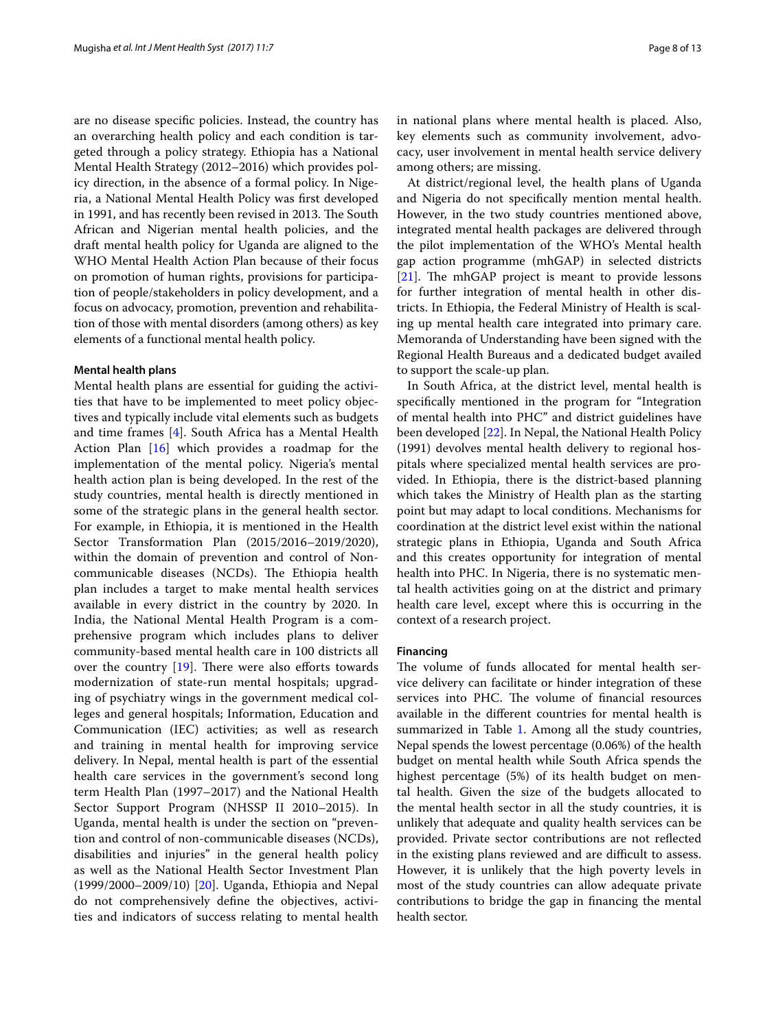are no disease specific policies. Instead, the country has an overarching health policy and each condition is targeted through a policy strategy. Ethiopia has a National Mental Health Strategy (2012–2016) which provides policy direction, in the absence of a formal policy. In Nigeria, a National Mental Health Policy was first developed in 1991, and has recently been revised in 2013. The South African and Nigerian mental health policies, and the draft mental health policy for Uganda are aligned to the WHO Mental Health Action Plan because of their focus on promotion of human rights, provisions for participation of people/stakeholders in policy development, and a focus on advocacy, promotion, prevention and rehabilitation of those with mental disorders (among others) as key elements of a functional mental health policy.

#### **Mental health plans**

Mental health plans are essential for guiding the activities that have to be implemented to meet policy objectives and typically include vital elements such as budgets and time frames [[4\]](#page-11-3). South Africa has a Mental Health Action Plan [\[16](#page-11-15)] which provides a roadmap for the implementation of the mental policy. Nigeria's mental health action plan is being developed. In the rest of the study countries, mental health is directly mentioned in some of the strategic plans in the general health sector. For example, in Ethiopia, it is mentioned in the Health Sector Transformation Plan (2015/2016–2019/2020), within the domain of prevention and control of Noncommunicable diseases (NCDs). The Ethiopia health plan includes a target to make mental health services available in every district in the country by 2020. In India, the National Mental Health Program is a comprehensive program which includes plans to deliver community-based mental health care in 100 districts all over the country [[19\]](#page-11-19). There were also efforts towards modernization of state-run mental hospitals; upgrading of psychiatry wings in the government medical colleges and general hospitals; Information, Education and Communication (IEC) activities; as well as research and training in mental health for improving service delivery. In Nepal, mental health is part of the essential health care services in the government's second long term Health Plan (1997–2017) and the National Health Sector Support Program (NHSSP II 2010–2015). In Uganda, mental health is under the section on "prevention and control of non-communicable diseases (NCDs), disabilities and injuries" in the general health policy as well as the National Health Sector Investment Plan (1999/2000–2009/10) [[20\]](#page-11-18). Uganda, Ethiopia and Nepal do not comprehensively define the objectives, activities and indicators of success relating to mental health in national plans where mental health is placed. Also, key elements such as community involvement, advocacy, user involvement in mental health service delivery among others; are missing.

At district/regional level, the health plans of Uganda and Nigeria do not specifically mention mental health. However, in the two study countries mentioned above, integrated mental health packages are delivered through the pilot implementation of the WHO's Mental health gap action programme (mhGAP) in selected districts [[21\]](#page-11-20). The mhGAP project is meant to provide lessons for further integration of mental health in other districts. In Ethiopia, the Federal Ministry of Health is scaling up mental health care integrated into primary care. Memoranda of Understanding have been signed with the Regional Health Bureaus and a dedicated budget availed to support the scale-up plan.

In South Africa, at the district level, mental health is specifically mentioned in the program for "Integration of mental health into PHC" and district guidelines have been developed [[22\]](#page-12-0). In Nepal, the National Health Policy (1991) devolves mental health delivery to regional hospitals where specialized mental health services are provided. In Ethiopia, there is the district-based planning which takes the Ministry of Health plan as the starting point but may adapt to local conditions. Mechanisms for coordination at the district level exist within the national strategic plans in Ethiopia, Uganda and South Africa and this creates opportunity for integration of mental health into PHC. In Nigeria, there is no systematic mental health activities going on at the district and primary health care level, except where this is occurring in the context of a research project.

# **Financing**

The volume of funds allocated for mental health service delivery can facilitate or hinder integration of these services into PHC. The volume of financial resources available in the different countries for mental health is summarized in Table [1.](#page-2-0) Among all the study countries, Nepal spends the lowest percentage (0.06%) of the health budget on mental health while South Africa spends the highest percentage (5%) of its health budget on mental health. Given the size of the budgets allocated to the mental health sector in all the study countries, it is unlikely that adequate and quality health services can be provided. Private sector contributions are not reflected in the existing plans reviewed and are difficult to assess. However, it is unlikely that the high poverty levels in most of the study countries can allow adequate private contributions to bridge the gap in financing the mental health sector.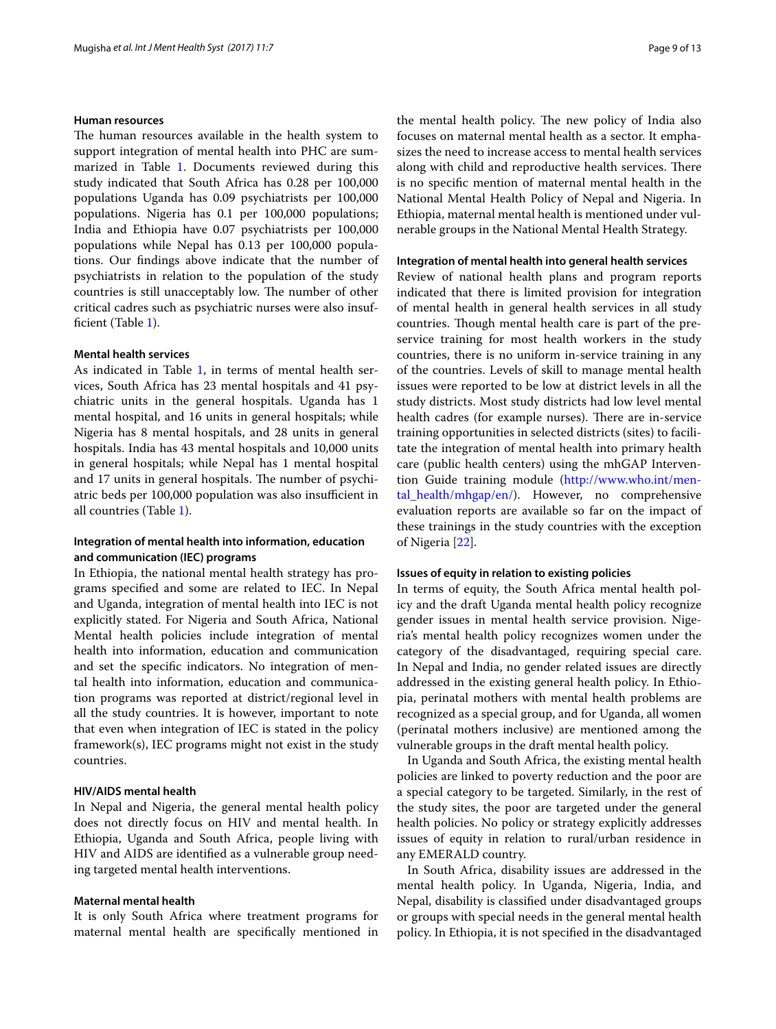# **Human resources**

The human resources available in the health system to support integration of mental health into PHC are sum-marized in Table [1.](#page-2-0) Documents reviewed during this study indicated that South Africa has 0.28 per 100,000 populations Uganda has 0.09 psychiatrists per 100,000 populations. Nigeria has 0.1 per 100,000 populations; India and Ethiopia have 0.07 psychiatrists per 100,000 populations while Nepal has 0.13 per 100,000 populations. Our findings above indicate that the number of psychiatrists in relation to the population of the study countries is still unacceptably low. The number of other critical cadres such as psychiatric nurses were also insufficient (Table [1](#page-2-0)).

#### **Mental health services**

As indicated in Table [1](#page-2-0), in terms of mental health services, South Africa has 23 mental hospitals and 41 psychiatric units in the general hospitals. Uganda has 1 mental hospital, and 16 units in general hospitals; while Nigeria has 8 mental hospitals, and 28 units in general hospitals. India has 43 mental hospitals and 10,000 units in general hospitals; while Nepal has 1 mental hospital and 17 units in general hospitals. The number of psychiatric beds per 100,000 population was also insufficient in all countries (Table [1\)](#page-2-0).

# **Integration of mental health into information, education and communication (IEC) programs**

In Ethiopia, the national mental health strategy has programs specified and some are related to IEC. In Nepal and Uganda, integration of mental health into IEC is not explicitly stated. For Nigeria and South Africa, National Mental health policies include integration of mental health into information, education and communication and set the specific indicators. No integration of mental health into information, education and communication programs was reported at district/regional level in all the study countries. It is however, important to note that even when integration of IEC is stated in the policy framework(s), IEC programs might not exist in the study countries.

#### **HIV/AIDS mental health**

In Nepal and Nigeria, the general mental health policy does not directly focus on HIV and mental health. In Ethiopia, Uganda and South Africa, people living with HIV and AIDS are identified as a vulnerable group needing targeted mental health interventions.

#### **Maternal mental health**

It is only South Africa where treatment programs for maternal mental health are specifically mentioned in the mental health policy. The new policy of India also focuses on maternal mental health as a sector. It emphasizes the need to increase access to mental health services along with child and reproductive health services. There is no specific mention of maternal mental health in the National Mental Health Policy of Nepal and Nigeria. In Ethiopia, maternal mental health is mentioned under vulnerable groups in the National Mental Health Strategy.

# **Integration of mental health into general health services**

Review of national health plans and program reports indicated that there is limited provision for integration of mental health in general health services in all study countries. Though mental health care is part of the preservice training for most health workers in the study countries, there is no uniform in-service training in any of the countries. Levels of skill to manage mental health issues were reported to be low at district levels in all the study districts. Most study districts had low level mental health cadres (for example nurses). There are in-service training opportunities in selected districts (sites) to facilitate the integration of mental health into primary health care (public health centers) using the mhGAP Intervention Guide training module [\(http://www.who.int/men](http://www.who.int/mental_health/mhgap/en/)[tal\\_health/mhgap/en/](http://www.who.int/mental_health/mhgap/en/)). However, no comprehensive evaluation reports are available so far on the impact of these trainings in the study countries with the exception of Nigeria [[22\]](#page-12-0).

# **Issues of equity in relation to existing policies**

In terms of equity, the South Africa mental health policy and the draft Uganda mental health policy recognize gender issues in mental health service provision. Nigeria's mental health policy recognizes women under the category of the disadvantaged, requiring special care. In Nepal and India, no gender related issues are directly addressed in the existing general health policy. In Ethiopia, perinatal mothers with mental health problems are recognized as a special group, and for Uganda, all women (perinatal mothers inclusive) are mentioned among the vulnerable groups in the draft mental health policy.

In Uganda and South Africa, the existing mental health policies are linked to poverty reduction and the poor are a special category to be targeted. Similarly, in the rest of the study sites, the poor are targeted under the general health policies. No policy or strategy explicitly addresses issues of equity in relation to rural/urban residence in any EMERALD country.

In South Africa, disability issues are addressed in the mental health policy. In Uganda, Nigeria, India, and Nepal, disability is classified under disadvantaged groups or groups with special needs in the general mental health policy. In Ethiopia, it is not specified in the disadvantaged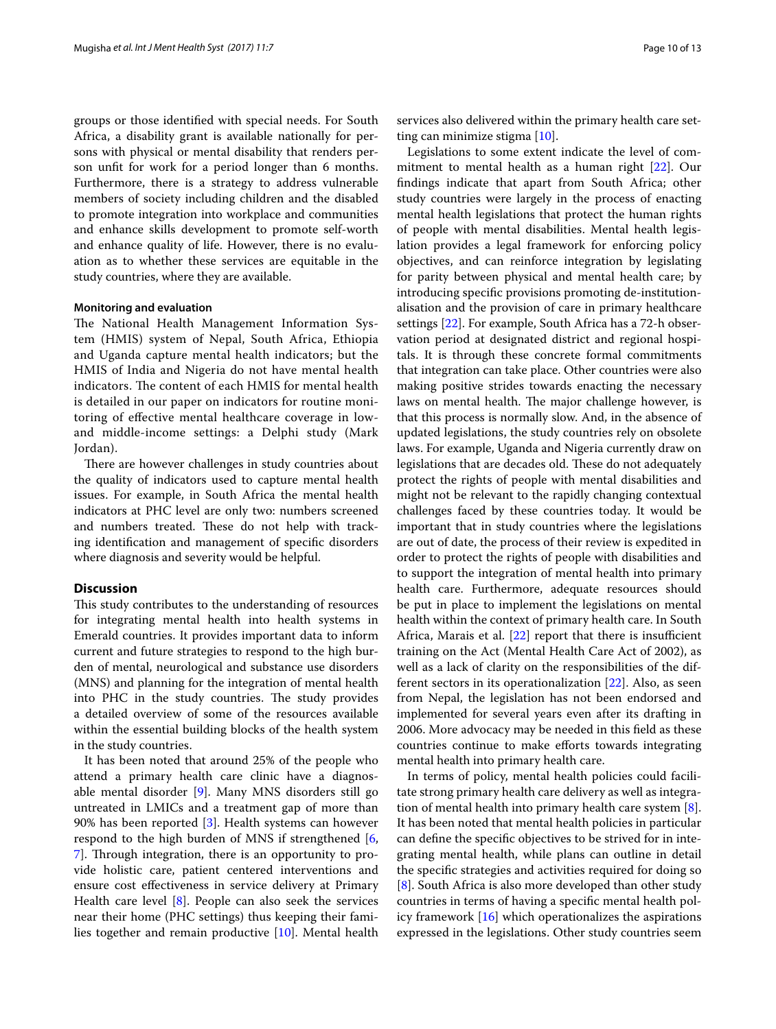groups or those identified with special needs. For South Africa, a disability grant is available nationally for persons with physical or mental disability that renders person unfit for work for a period longer than 6 months. Furthermore, there is a strategy to address vulnerable members of society including children and the disabled to promote integration into workplace and communities and enhance skills development to promote self-worth and enhance quality of life. However, there is no evaluation as to whether these services are equitable in the study countries, where they are available.

#### **Monitoring and evaluation**

The National Health Management Information System (HMIS) system of Nepal, South Africa, Ethiopia and Uganda capture mental health indicators; but the HMIS of India and Nigeria do not have mental health indicators. The content of each HMIS for mental health is detailed in our paper on indicators for routine monitoring of effective mental healthcare coverage in lowand middle-income settings: a Delphi study (Mark Jordan).

There are however challenges in study countries about the quality of indicators used to capture mental health issues. For example, in South Africa the mental health indicators at PHC level are only two: numbers screened and numbers treated. These do not help with tracking identification and management of specific disorders where diagnosis and severity would be helpful.

# **Discussion**

This study contributes to the understanding of resources for integrating mental health into health systems in Emerald countries. It provides important data to inform current and future strategies to respond to the high burden of mental, neurological and substance use disorders (MNS) and planning for the integration of mental health into PHC in the study countries. The study provides a detailed overview of some of the resources available within the essential building blocks of the health system in the study countries.

It has been noted that around 25% of the people who attend a primary health care clinic have a diagnosable mental disorder [\[9](#page-11-7)]. Many MNS disorders still go untreated in LMICs and a treatment gap of more than 90% has been reported [[3](#page-11-2)]. Health systems can however respond to the high burden of MNS if strengthened [\[6](#page-11-5), [7\]](#page-11-21). Through integration, there is an opportunity to provide holistic care, patient centered interventions and ensure cost effectiveness in service delivery at Primary Health care level [\[8](#page-11-6)]. People can also seek the services near their home (PHC settings) thus keeping their families together and remain productive [[10](#page-11-8)]. Mental health

services also delivered within the primary health care setting can minimize stigma [[10](#page-11-8)].

Legislations to some extent indicate the level of commitment to mental health as a human right [\[22\]](#page-12-0). Our findings indicate that apart from South Africa; other study countries were largely in the process of enacting mental health legislations that protect the human rights of people with mental disabilities. Mental health legislation provides a legal framework for enforcing policy objectives, and can reinforce integration by legislating for parity between physical and mental health care; by introducing specific provisions promoting de-institutionalisation and the provision of care in primary healthcare settings [[22\]](#page-12-0). For example, South Africa has a 72-h observation period at designated district and regional hospitals. It is through these concrete formal commitments that integration can take place. Other countries were also making positive strides towards enacting the necessary laws on mental health. The major challenge however, is that this process is normally slow. And, in the absence of updated legislations, the study countries rely on obsolete laws. For example, Uganda and Nigeria currently draw on legislations that are decades old. These do not adequately protect the rights of people with mental disabilities and might not be relevant to the rapidly changing contextual challenges faced by these countries today. It would be important that in study countries where the legislations are out of date, the process of their review is expedited in order to protect the rights of people with disabilities and to support the integration of mental health into primary health care. Furthermore, adequate resources should be put in place to implement the legislations on mental health within the context of primary health care. In South Africa, Marais et al. [\[22\]](#page-12-0) report that there is insufficient training on the Act (Mental Health Care Act of 2002), as well as a lack of clarity on the responsibilities of the different sectors in its operationalization [\[22](#page-12-0)]. Also, as seen from Nepal, the legislation has not been endorsed and implemented for several years even after its drafting in 2006. More advocacy may be needed in this field as these countries continue to make efforts towards integrating mental health into primary health care.

In terms of policy, mental health policies could facilitate strong primary health care delivery as well as integration of mental health into primary health care system [\[8](#page-11-6)]. It has been noted that mental health policies in particular can define the specific objectives to be strived for in integrating mental health, while plans can outline in detail the specific strategies and activities required for doing so [[8\]](#page-11-6). South Africa is also more developed than other study countries in terms of having a specific mental health policy framework  $[16]$  which operationalizes the aspirations expressed in the legislations. Other study countries seem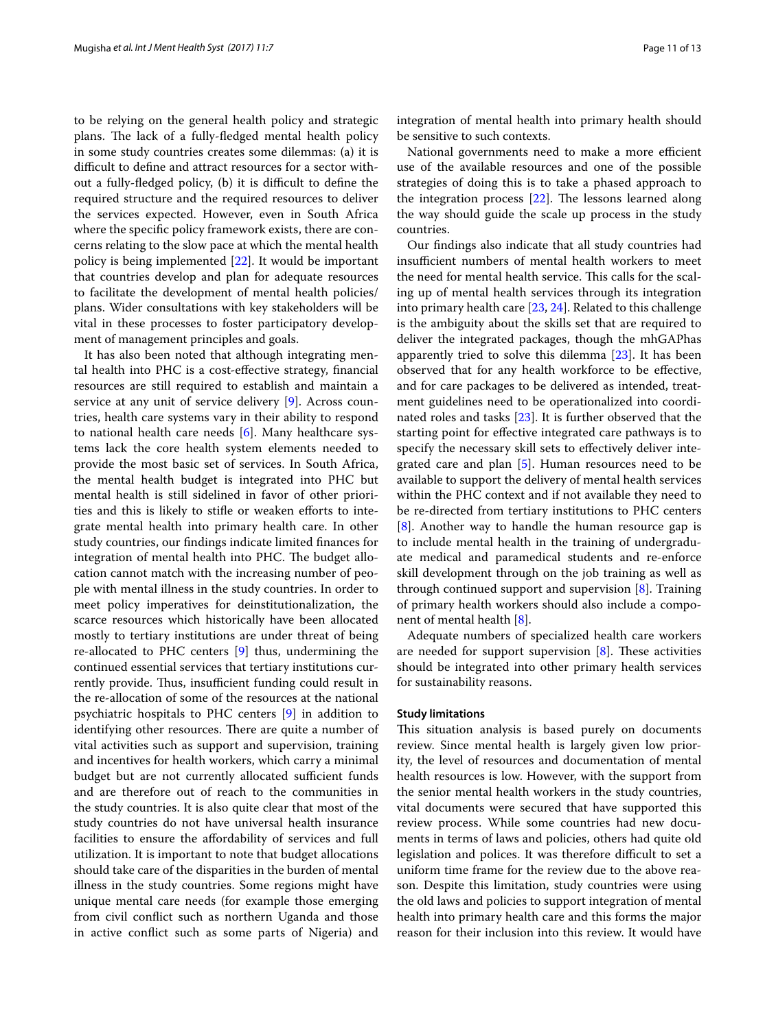to be relying on the general health policy and strategic plans. The lack of a fully-fledged mental health policy in some study countries creates some dilemmas: (a) it is difficult to define and attract resources for a sector without a fully-fledged policy, (b) it is difficult to define the required structure and the required resources to deliver the services expected. However, even in South Africa where the specific policy framework exists, there are concerns relating to the slow pace at which the mental health policy is being implemented [\[22](#page-12-0)]. It would be important that countries develop and plan for adequate resources to facilitate the development of mental health policies/ plans. Wider consultations with key stakeholders will be vital in these processes to foster participatory development of management principles and goals.

It has also been noted that although integrating mental health into PHC is a cost-effective strategy, financial resources are still required to establish and maintain a service at any unit of service delivery [\[9](#page-11-7)]. Across countries, health care systems vary in their ability to respond to national health care needs [[6\]](#page-11-5). Many healthcare systems lack the core health system elements needed to provide the most basic set of services. In South Africa, the mental health budget is integrated into PHC but mental health is still sidelined in favor of other priorities and this is likely to stifle or weaken efforts to integrate mental health into primary health care. In other study countries, our findings indicate limited finances for integration of mental health into PHC. The budget allocation cannot match with the increasing number of people with mental illness in the study countries. In order to meet policy imperatives for deinstitutionalization, the scarce resources which historically have been allocated mostly to tertiary institutions are under threat of being re-allocated to PHC centers [\[9\]](#page-11-7) thus, undermining the continued essential services that tertiary institutions currently provide. Thus, insufficient funding could result in the re-allocation of some of the resources at the national psychiatric hospitals to PHC centers [\[9](#page-11-7)] in addition to identifying other resources. There are quite a number of vital activities such as support and supervision, training and incentives for health workers, which carry a minimal budget but are not currently allocated sufficient funds and are therefore out of reach to the communities in the study countries. It is also quite clear that most of the study countries do not have universal health insurance facilities to ensure the affordability of services and full utilization. It is important to note that budget allocations should take care of the disparities in the burden of mental illness in the study countries. Some regions might have unique mental care needs (for example those emerging from civil conflict such as northern Uganda and those in active conflict such as some parts of Nigeria) and integration of mental health into primary health should be sensitive to such contexts.

National governments need to make a more efficient use of the available resources and one of the possible strategies of doing this is to take a phased approach to the integration process [\[22](#page-12-0)]. The lessons learned along the way should guide the scale up process in the study countries.

Our findings also indicate that all study countries had insufficient numbers of mental health workers to meet the need for mental health service. This calls for the scaling up of mental health services through its integration into primary health care [\[23](#page-12-1), [24](#page-12-2)]. Related to this challenge is the ambiguity about the skills set that are required to deliver the integrated packages, though the mhGAPhas apparently tried to solve this dilemma [\[23](#page-12-1)]. It has been observed that for any health workforce to be effective, and for care packages to be delivered as intended, treatment guidelines need to be operationalized into coordinated roles and tasks [[23\]](#page-12-1). It is further observed that the starting point for effective integrated care pathways is to specify the necessary skill sets to effectively deliver integrated care and plan [\[5](#page-11-4)]. Human resources need to be available to support the delivery of mental health services within the PHC context and if not available they need to be re-directed from tertiary institutions to PHC centers [[8\]](#page-11-6). Another way to handle the human resource gap is to include mental health in the training of undergraduate medical and paramedical students and re-enforce skill development through on the job training as well as through continued support and supervision [\[8](#page-11-6)]. Training of primary health workers should also include a component of mental health [[8\]](#page-11-6).

Adequate numbers of specialized health care workers are needed for support supervision [[8](#page-11-6)]. These activities should be integrated into other primary health services for sustainability reasons.

#### **Study limitations**

This situation analysis is based purely on documents review. Since mental health is largely given low priority, the level of resources and documentation of mental health resources is low. However, with the support from the senior mental health workers in the study countries, vital documents were secured that have supported this review process. While some countries had new documents in terms of laws and policies, others had quite old legislation and polices. It was therefore difficult to set a uniform time frame for the review due to the above reason. Despite this limitation, study countries were using the old laws and policies to support integration of mental health into primary health care and this forms the major reason for their inclusion into this review. It would have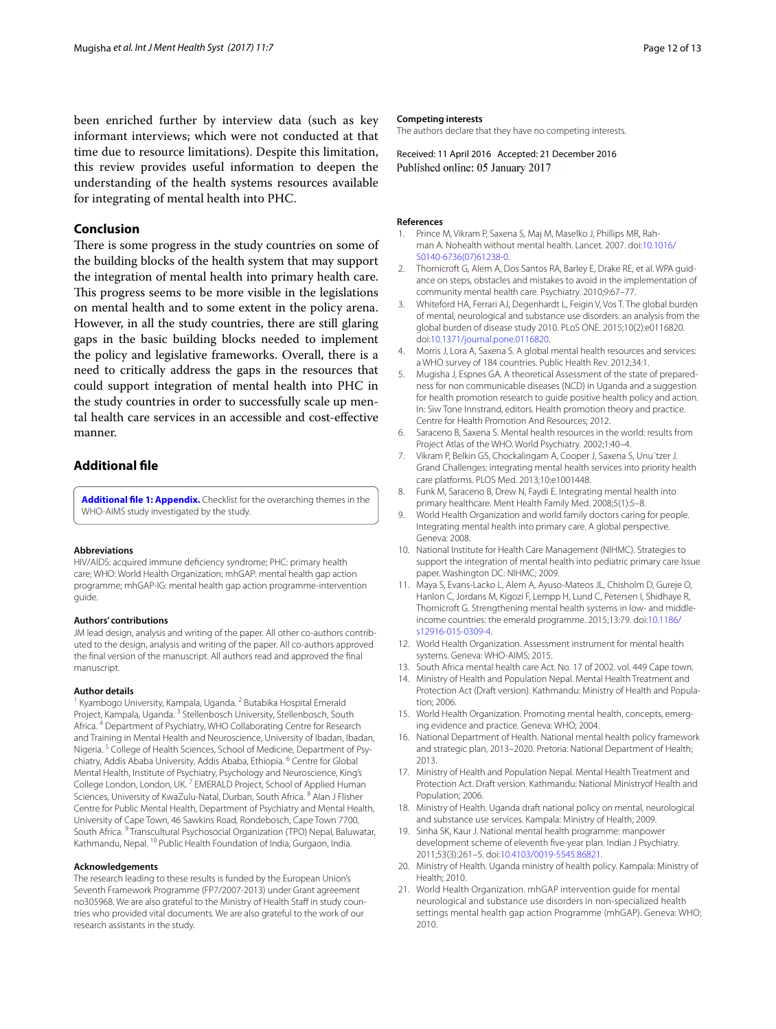been enriched further by interview data (such as key informant interviews; which were not conducted at that time due to resource limitations). Despite this limitation, this review provides useful information to deepen the understanding of the health systems resources available for integrating of mental health into PHC.

# **Conclusion**

There is some progress in the study countries on some of the building blocks of the health system that may support the integration of mental health into primary health care. This progress seems to be more visible in the legislations on mental health and to some extent in the policy arena. However, in all the study countries, there are still glaring gaps in the basic building blocks needed to implement the policy and legislative frameworks. Overall, there is a need to critically address the gaps in the resources that could support integration of mental health into PHC in the study countries in order to successfully scale up mental health care services in an accessible and cost-effective manner.

## **Additional file**

<span id="page-11-11"></span>**[Additional file 1: Appendix.](http://dx.doi.org/10.1186/s13033-016-0114-2)** Checklist for the overarching themes in the WHO-AIMS study investigated by the study.

#### **Abbreviations**

HIV/AIDS: acquired immune deficiency syndrome; PHC: primary health care; WHO: World Health Organization; mhGAP: mental health gap action programme; mhGAP-IG: mental health gap action programme-intervention guide.

#### **Authors' contributions**

JM lead design, analysis and writing of the paper. All other co-authors contributed to the design, analysis and writing of the paper. All co-authors approved the final version of the manuscript. All authors read and approved the final manuscript.

#### **Author details**

Kyambogo University, Kampala, Uganda. <sup>2</sup> Butabika Hospital Emerald Project, Kampala, Uganda. <sup>3</sup> Stellenbosch University, Stellenbosch, South Africa. 4 Department of Psychiatry, WHO Collaborating Centre for Research and Training in Mental Health and Neuroscience, University of Ibadan, Ibadan, Nigeria. <sup>5</sup> College of Health Sciences, School of Medicine, Department of Psychiatry, Addis Ababa University, Addis Ababa, Ethiopia. <sup>6</sup> Centre for Global Mental Health, Institute of Psychiatry, Psychology and Neuroscience, King's College London, London, UK. 7 EMERALD Project, School of Applied Human Sciences, University of KwaZulu-Natal, Durban, South Africa. <sup>8</sup> Alan J Flisher Centre for Public Mental Health, Department of Psychiatry and Mental Health, University of Cape Town, 46 Sawkins Road, Rondebosch, Cape Town 7700, South Africa. 9 Transcultural Psychosocial Organization (TPO) Nepal, Baluwatar, Kathmandu, Nepal. 10 Public Health Foundation of India, Gurgaon, India.

#### **Acknowledgements**

The research leading to these results is funded by the European Union's Seventh Framework Programme (FP7/2007-2013) under Grant agreement no305968. We are also grateful to the Ministry of Health Staff in study countries who provided vital documents. We are also grateful to the work of our research assistants in the study.

#### **Competing interests**

The authors declare that they have no competing interests.

Received: 11 April 2016 Accepted: 21 December 2016 Published online: 05 January 2017

#### **References**

- <span id="page-11-0"></span>1. Prince M, Vikram P, Saxena S, Maj M, Maselko J, Phillips MR, Rahman A. Nohealth without mental health. Lancet. 2007. doi[:10.1016/](http://dx.doi.org/10.1016/S0140-6736(07)61238-0) [S0140-6736\(07\)61238-0](http://dx.doi.org/10.1016/S0140-6736(07)61238-0).
- <span id="page-11-1"></span>2. Thornicroft G, Alem A, Dos Santos RA, Barley E, Drake RE, et al. WPA guidance on steps, obstacles and mistakes to avoid in the implementation of community mental health care. Psychiatry. 2010;9:67–77.
- <span id="page-11-2"></span>3. Whiteford HA, Ferrari AJ, Degenhardt L, Feigin V, Vos T. The global burden of mental, neurological and substance use disorders: an analysis from the global burden of disease study 2010. PLoS ONE. 2015;10(2):e0116820. doi:[10.1371/journal.pone.0116820](http://dx.doi.org/10.1371/journal.pone.0116820).
- <span id="page-11-3"></span>4. Morris J, Lora A, Saxena S. A global mental health resources and services: a WHO survey of 184 countries. Public Health Rev. 2012;34:1.
- <span id="page-11-4"></span>5. Mugisha J, Espnes GA. A theoretical Assessment of the state of preparedness for non communicable diseases (NCD) in Uganda and a suggestion for health promotion research to guide positive health policy and action. In: Siw Tone Innstrand, editors. Health promotion theory and practice. Centre for Health Promotion And Resources; 2012.
- <span id="page-11-5"></span>6. Saraceno B, Saxena S. Mental health resources in the world: results from Project Atlas of the WHO. World Psychiatry. 2002;1:40–4.
- <span id="page-11-21"></span>7. Vikram P, Belkin GS, Chockalingam A, Cooper J, Saxena S, Unu¨tzer J. Grand Challenges: integrating mental health services into priority health care platforms. PLOS Med. 2013;10:e1001448.
- <span id="page-11-6"></span>8. Funk M, Saraceno B, Drew N, Faydi E. Integrating mental health into primary healthcare. Ment Health Family Med. 2008;5(1):5–8.
- <span id="page-11-7"></span>9. World Health Organization and world family doctors caring for people. Integrating mental health into primary care. A global perspective. Geneva: 2008.
- <span id="page-11-8"></span>10. National Institute for Health Care Management (NIHMC). Strategies to support the integration of mental health into pediatric primary care Issue paper. Washington DC: NIHMC; 2009.
- <span id="page-11-9"></span>11. Maya S, Evans-Lacko L, Alem A, Ayuso-Mateos JL, Chisholm D, Gureje O, Hanlon C, Jordans M, Kigozi F, Lempp H, Lund C, Petersen I, Shidhaye R, Thornicroft G. Strengthening mental health systems in low- and middleincome countries: the emerald programme. 2015;13:79. doi[:10.1186/](http://dx.doi.org/10.1186/s12916-015-0309-4) [s12916-015-0309-4.](http://dx.doi.org/10.1186/s12916-015-0309-4)
- <span id="page-11-10"></span>12. World Health Organization. Assessment instrument for mental health systems. Geneva: WHO-AIMS; 2015.
- <span id="page-11-12"></span>13. South Africa mental health care Act. No. 17 of 2002. vol. 449 Cape town.
- <span id="page-11-13"></span>14. Ministry of Health and Population Nepal. Mental Health Treatment and Protection Act (Draft version). Kathmandu: Ministry of Health and Population; 2006.
- <span id="page-11-14"></span>15. World Health Organization. Promoting mental health, concepts, emerging evidence and practice. Geneva: WHO; 2004.
- <span id="page-11-15"></span>16. National Department of Health. National mental health policy framework and strategic plan, 2013–2020. Pretoria: National Department of Health; 2013.
- <span id="page-11-16"></span>17. Ministry of Health and Population Nepal. Mental Health Treatment and Protection Act. Draft version. Kathmandu: National Ministryof Health and Population; 2006.
- <span id="page-11-17"></span>18. Ministry of Health. Uganda draft national policy on mental, neurological and substance use services. Kampala: Ministry of Health; 2009.
- <span id="page-11-19"></span>19. Sinha SK, Kaur J. National mental health programme: manpower development scheme of eleventh five-year plan. Indian J Psychiatry. 2011;53(3):261–5. doi[:10.4103/0019-5545.86821](http://dx.doi.org/10.4103/0019-5545.86821).
- <span id="page-11-18"></span>20. Ministry of Health. Uganda ministry of health policy. Kampala: Ministry of Health; 2010.
- <span id="page-11-20"></span>21. World Health Organization. mhGAP intervention guide for mental neurological and substance use disorders in non-specialized health settings mental health gap action Programme (mhGAP). Geneva: WHO; 2010.